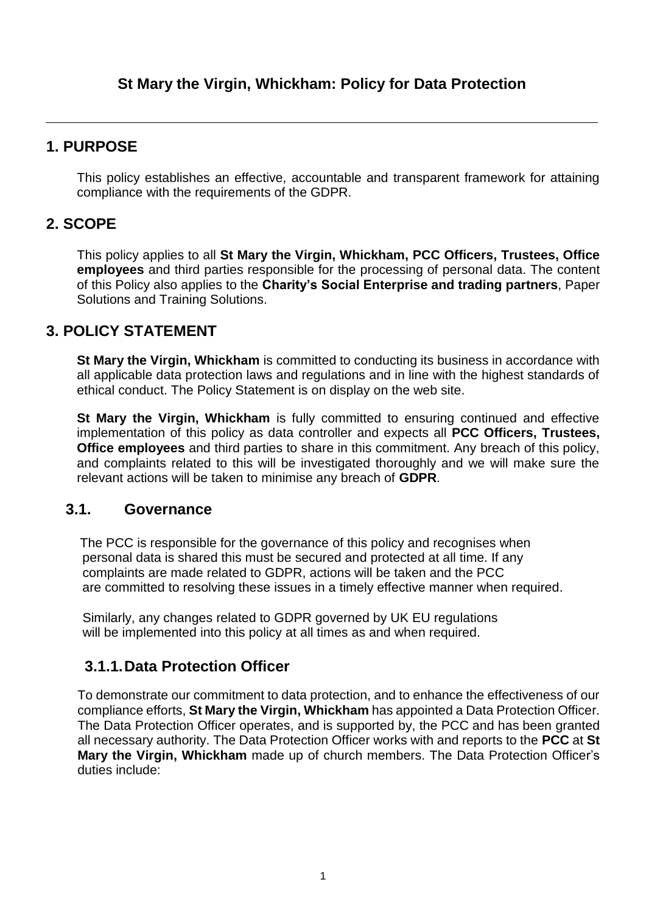# **1. PURPOSE**

This policy establishes an effective, accountable and transparent framework for attaining compliance with the requirements of the GDPR.

# **2. SCOPE**

This policy applies to all **St Mary the Virgin, Whickham, PCC Officers, Trustees, Office employees** and third parties responsible for the processing of personal data. The content of this Policy also applies to the **Charity's Social Enterprise and trading partners**, Paper Solutions and Training Solutions.

# **3. POLICY STATEMENT**

**St Mary the Virgin, Whickham** is committed to conducting its business in accordance with all applicable data protection laws and regulations and in line with the highest standards of ethical conduct. The Policy Statement is on display on the web site.

**St Mary the Virgin, Whickham** is fully committed to ensuring continued and effective implementation of this policy as data controller and expects all **PCC Officers, Trustees, Office employees** and third parties to share in this commitment. Any breach of this policy, and complaints related to this will be investigated thoroughly and we will make sure the relevant actions will be taken to minimise any breach of **GDPR**.

## **3.1. Governance**

The PCC is responsible for the governance of this policy and recognises when personal data is shared this must be secured and protected at all time. If any complaints are made related to GDPR, actions will be taken and the PCC are committed to resolving these issues in a timely effective manner when required.

 Similarly, any changes related to GDPR governed by UK EU regulations will be implemented into this policy at all times as and when required.

# **3.1.1.Data Protection Officer**

To demonstrate our commitment to data protection, and to enhance the effectiveness of our compliance efforts, **St Mary the Virgin, Whickham** has appointed a Data Protection Officer. The Data Protection Officer operates, and is supported by, the PCC and has been granted all necessary authority. The Data Protection Officer works with and reports to the **PCC** at **St Mary the Virgin, Whickham** made up of church members. The Data Protection Officer's duties include: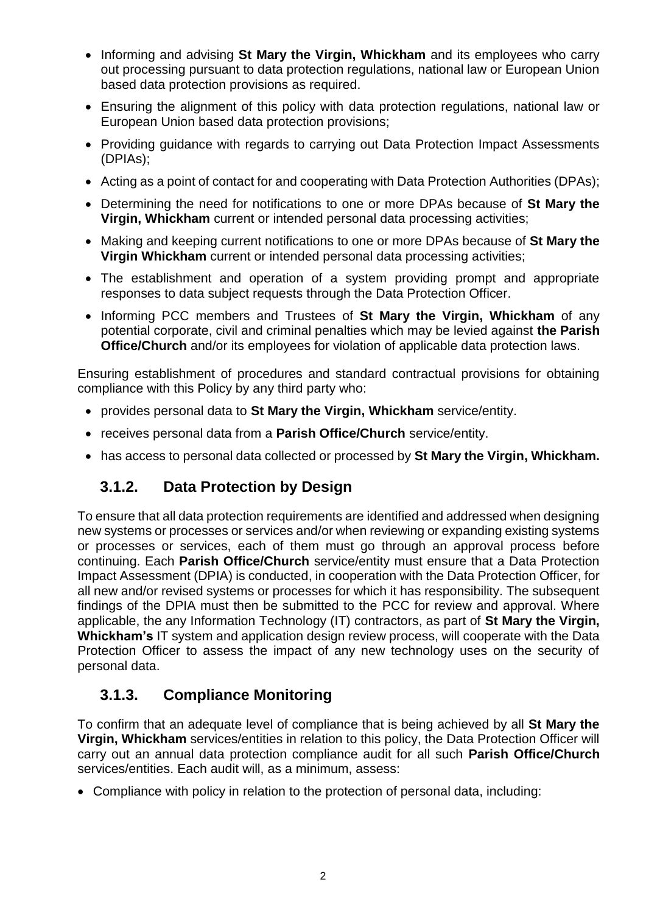- Informing and advising **St Mary the Virgin, Whickham** and its employees who carry out processing pursuant to data protection regulations, national law or European Union based data protection provisions as required.
- Ensuring the alignment of this policy with data protection regulations, national law or European Union based data protection provisions;
- Providing guidance with regards to carrying out Data Protection Impact Assessments (DPIAs);
- Acting as a point of contact for and cooperating with Data Protection Authorities (DPAs);
- Determining the need for notifications to one or more DPAs because of **St Mary the Virgin, Whickham** current or intended personal data processing activities;
- Making and keeping current notifications to one or more DPAs because of **St Mary the Virgin Whickham** current or intended personal data processing activities;
- The establishment and operation of a system providing prompt and appropriate responses to data subject requests through the Data Protection Officer.
- Informing PCC members and Trustees of St Mary the Virgin, Whickham of any potential corporate, civil and criminal penalties which may be levied against **the Parish Office/Church** and/or its employees for violation of applicable data protection laws.

Ensuring establishment of procedures and standard contractual provisions for obtaining compliance with this Policy by any third party who:

- provides personal data to **St Mary the Virgin, Whickham** service/entity.
- receives personal data from a **Parish Office/Church** service/entity.
- has access to personal data collected or processed by **St Mary the Virgin, Whickham.**

## **3.1.2. Data Protection by Design**

To ensure that all data protection requirements are identified and addressed when designing new systems or processes or services and/or when reviewing or expanding existing systems or processes or services, each of them must go through an approval process before continuing. Each **Parish Office/Church** service/entity must ensure that a Data Protection Impact Assessment (DPIA) is conducted, in cooperation with the Data Protection Officer, for all new and/or revised systems or processes for which it has responsibility. The subsequent findings of the DPIA must then be submitted to the PCC for review and approval. Where applicable, the any Information Technology (IT) contractors, as part of **St Mary the Virgin, Whickham's** IT system and application design review process, will cooperate with the Data Protection Officer to assess the impact of any new technology uses on the security of personal data.

## **3.1.3. Compliance Monitoring**

To confirm that an adequate level of compliance that is being achieved by all **St Mary the Virgin, Whickham** services/entities in relation to this policy, the Data Protection Officer will carry out an annual data protection compliance audit for all such **Parish Office/Church** services/entities. Each audit will, as a minimum, assess:

Compliance with policy in relation to the protection of personal data, including: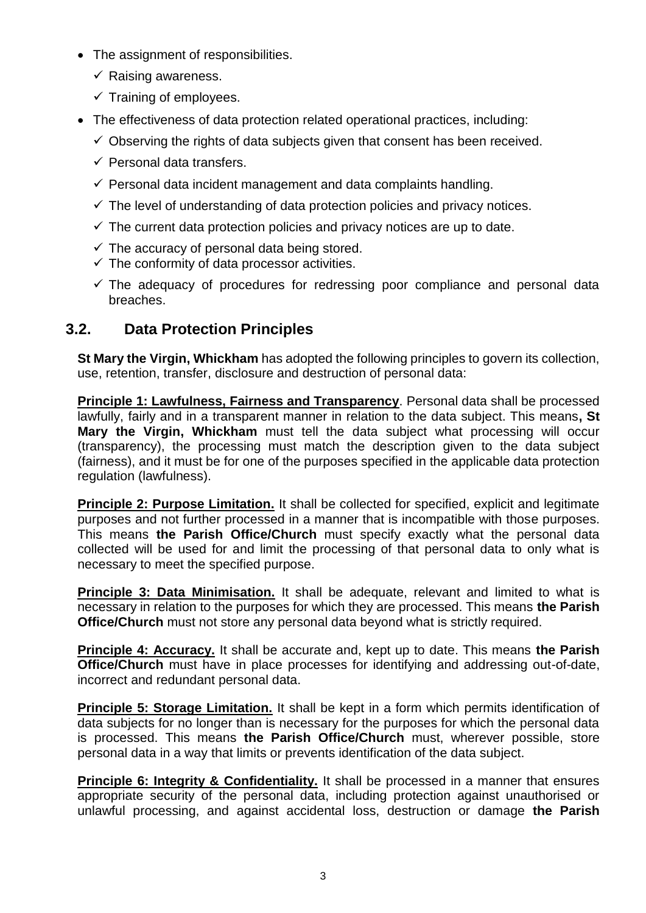- The assignment of responsibilities.
	- $\checkmark$  Raising awareness.
	- $\checkmark$  Training of employees.
- The effectiveness of data protection related operational practices, including:
	- $\checkmark$  Observing the rights of data subjects given that consent has been received.
	- $\checkmark$  Personal data transfers.
	- $\checkmark$  Personal data incident management and data complaints handling.
	- $\checkmark$  The level of understanding of data protection policies and privacy notices.
	- $\checkmark$  The current data protection policies and privacy notices are up to date.
	- $\checkmark$  The accuracy of personal data being stored.
	- $\checkmark$  The conformity of data processor activities.
	- $\checkmark$  The adequacy of procedures for redressing poor compliance and personal data breaches.

# **3.2. Data Protection Principles**

**St Mary the Virgin, Whickham** has adopted the following principles to govern its collection, use, retention, transfer, disclosure and destruction of personal data:

**Principle 1: Lawfulness, Fairness and Transparency**. Personal data shall be processed lawfully, fairly and in a transparent manner in relation to the data subject. This means**, St Mary the Virgin, Whickham** must tell the data subject what processing will occur (transparency), the processing must match the description given to the data subject (fairness), and it must be for one of the purposes specified in the applicable data protection regulation (lawfulness).

**Principle 2: Purpose Limitation.** It shall be collected for specified, explicit and legitimate purposes and not further processed in a manner that is incompatible with those purposes. This means **the Parish Office/Church** must specify exactly what the personal data collected will be used for and limit the processing of that personal data to only what is necessary to meet the specified purpose.

**Principle 3: Data Minimisation.** It shall be adequate, relevant and limited to what is necessary in relation to the purposes for which they are processed. This means **the Parish Office/Church** must not store any personal data beyond what is strictly required.

**Principle 4: Accuracy.** It shall be accurate and, kept up to date. This means **the Parish Office/Church** must have in place processes for identifying and addressing out-of-date, incorrect and redundant personal data.

**Principle 5: Storage Limitation.** It shall be kept in a form which permits identification of data subjects for no longer than is necessary for the purposes for which the personal data is processed. This means **the Parish Office/Church** must, wherever possible, store personal data in a way that limits or prevents identification of the data subject.

**Principle 6: Integrity & Confidentiality.** It shall be processed in a manner that ensures appropriate security of the personal data, including protection against unauthorised or unlawful processing, and against accidental loss, destruction or damage **the Parish**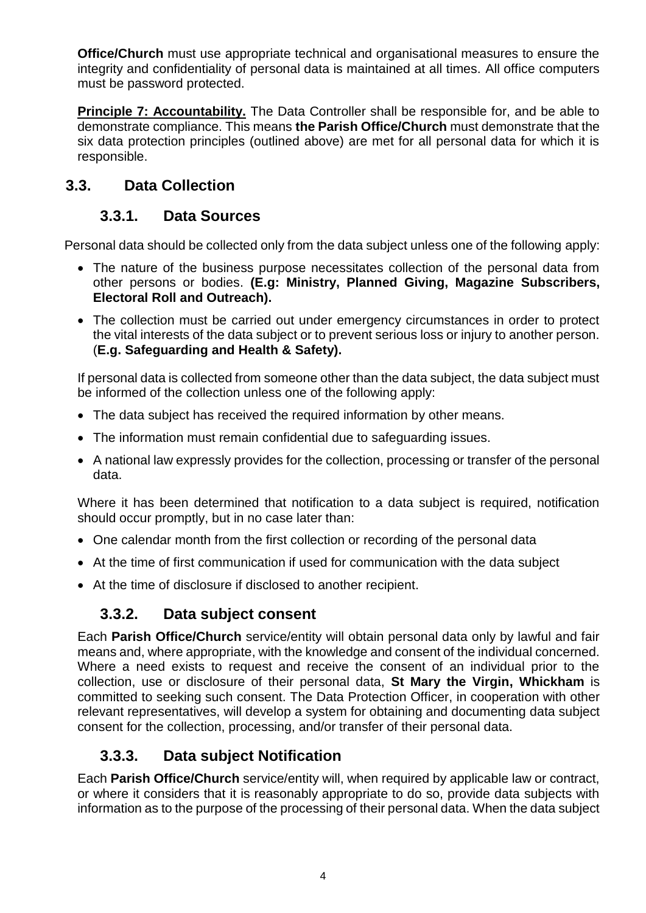**Office/Church** must use appropriate technical and organisational measures to ensure the integrity and confidentiality of personal data is maintained at all times. All office computers must be password protected.

**Principle 7: Accountability.** The Data Controller shall be responsible for, and be able to demonstrate compliance. This means **the Parish Office/Church** must demonstrate that the six data protection principles (outlined above) are met for all personal data for which it is responsible.

# **3.3. Data Collection**

# **3.3.1. Data Sources**

Personal data should be collected only from the data subject unless one of the following apply:

- The nature of the business purpose necessitates collection of the personal data from other persons or bodies. **(E.g: Ministry, Planned Giving, Magazine Subscribers, Electoral Roll and Outreach).**
- The collection must be carried out under emergency circumstances in order to protect the vital interests of the data subject or to prevent serious loss or injury to another person. (**E.g. Safeguarding and Health & Safety).**

If personal data is collected from someone other than the data subject, the data subject must be informed of the collection unless one of the following apply:

- The data subject has received the required information by other means.
- The information must remain confidential due to safeguarding issues.
- A national law expressly provides for the collection, processing or transfer of the personal data.

Where it has been determined that notification to a data subject is required, notification should occur promptly, but in no case later than:

- One calendar month from the first collection or recording of the personal data
- At the time of first communication if used for communication with the data subject
- At the time of disclosure if disclosed to another recipient.

## **3.3.2. Data subject consent**

Each **Parish Office/Church** service/entity will obtain personal data only by lawful and fair means and, where appropriate, with the knowledge and consent of the individual concerned. Where a need exists to request and receive the consent of an individual prior to the collection, use or disclosure of their personal data, **St Mary the Virgin, Whickham** is committed to seeking such consent. The Data Protection Officer, in cooperation with other relevant representatives, will develop a system for obtaining and documenting data subject consent for the collection, processing, and/or transfer of their personal data.

# **3.3.3. Data subject Notification**

Each **Parish Office/Church** service/entity will, when required by applicable law or contract, or where it considers that it is reasonably appropriate to do so, provide data subjects with information as to the purpose of the processing of their personal data. When the data subject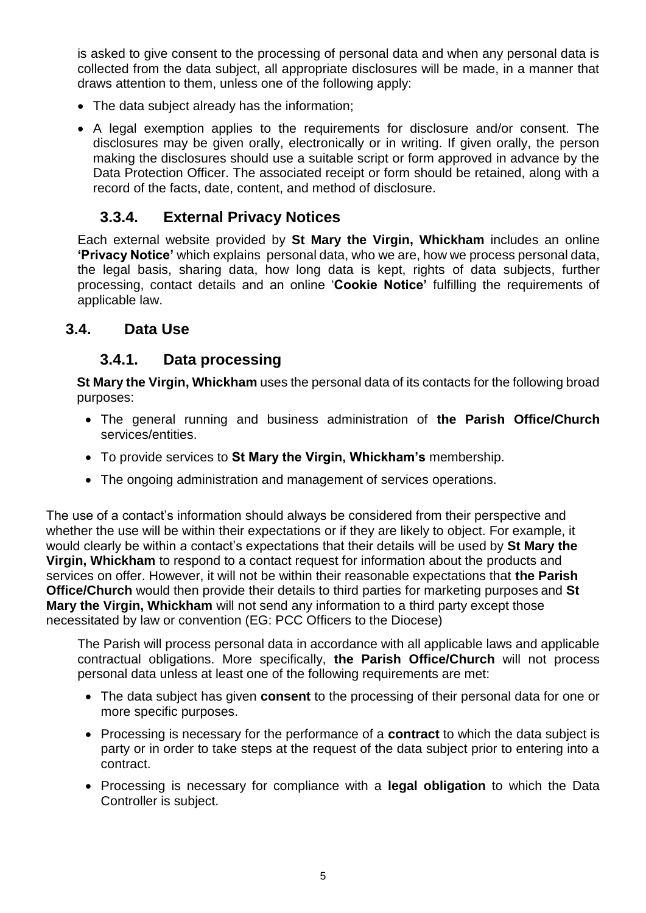is asked to give consent to the processing of personal data and when any personal data is collected from the data subject, all appropriate disclosures will be made, in a manner that draws attention to them, unless one of the following apply:

- The data subject already has the information;
- A legal exemption applies to the requirements for disclosure and/or consent. The disclosures may be given orally, electronically or in writing. If given orally, the person making the disclosures should use a suitable script or form approved in advance by the Data Protection Officer. The associated receipt or form should be retained, along with a record of the facts, date, content, and method of disclosure.

### **3.3.4. External Privacy Notices**

Each external website provided by **St Mary the Virgin, Whickham** includes an online **'Privacy Notice'** which explains personal data, who we are, how we process personal data, the legal basis, sharing data, how long data is kept, rights of data subjects, further processing, contact details and an online '**Cookie Notice'** fulfilling the requirements of applicable law.

#### **3.4. Data Use**

#### **3.4.1. Data processing**

**St Mary the Virgin, Whickham** uses the personal data of its contacts for the following broad purposes:

- The general running and business administration of **the Parish Office/Church** services/entities.
- To provide services to **St Mary the Virgin, Whickham's** membership.
- The ongoing administration and management of services operations.

The use of a contact's information should always be considered from their perspective and whether the use will be within their expectations or if they are likely to object. For example, it would clearly be within a contact's expectations that their details will be used by **St Mary the Virgin, Whickham** to respond to a contact request for information about the products and services on offer. However, it will not be within their reasonable expectations that **the Parish Office/Church** would then provide their details to third parties for marketing purposes and **St Mary the Virgin, Whickham** will not send any information to a third party except those necessitated by law or convention (EG: PCC Officers to the Diocese)

The Parish will process personal data in accordance with all applicable laws and applicable contractual obligations. More specifically, **the Parish Office/Church** will not process personal data unless at least one of the following requirements are met:

- The data subject has given **consent** to the processing of their personal data for one or more specific purposes.
- Processing is necessary for the performance of a **contract** to which the data subject is party or in order to take steps at the request of the data subject prior to entering into a contract.
- Processing is necessary for compliance with a **legal obligation** to which the Data Controller is subject.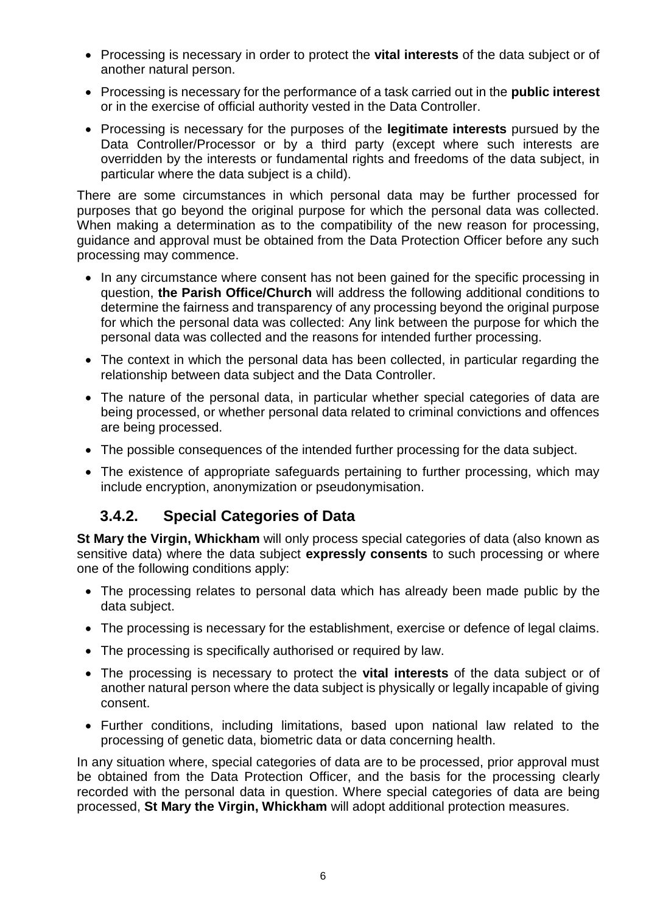- Processing is necessary in order to protect the **vital interests** of the data subject or of another natural person.
- Processing is necessary for the performance of a task carried out in the **public interest** or in the exercise of official authority vested in the Data Controller.
- Processing is necessary for the purposes of the **legitimate interests** pursued by the Data Controller/Processor or by a third party (except where such interests are overridden by the interests or fundamental rights and freedoms of the data subject, in particular where the data subject is a child).

There are some circumstances in which personal data may be further processed for purposes that go beyond the original purpose for which the personal data was collected. When making a determination as to the compatibility of the new reason for processing, guidance and approval must be obtained from the Data Protection Officer before any such processing may commence.

- In any circumstance where consent has not been gained for the specific processing in question, **the Parish Office/Church** will address the following additional conditions to determine the fairness and transparency of any processing beyond the original purpose for which the personal data was collected: Any link between the purpose for which the personal data was collected and the reasons for intended further processing.
- The context in which the personal data has been collected, in particular regarding the relationship between data subject and the Data Controller.
- The nature of the personal data, in particular whether special categories of data are being processed, or whether personal data related to criminal convictions and offences are being processed.
- The possible consequences of the intended further processing for the data subject.
- The existence of appropriate safeguards pertaining to further processing, which may include encryption, anonymization or pseudonymisation.

## **3.4.2. Special Categories of Data**

**St Mary the Virgin, Whickham** will only process special categories of data (also known as sensitive data) where the data subject **expressly consents** to such processing or where one of the following conditions apply:

- The processing relates to personal data which has already been made public by the data subject.
- The processing is necessary for the establishment, exercise or defence of legal claims.
- The processing is specifically authorised or required by law.
- The processing is necessary to protect the **vital interests** of the data subject or of another natural person where the data subject is physically or legally incapable of giving consent.
- Further conditions, including limitations, based upon national law related to the processing of genetic data, biometric data or data concerning health.

In any situation where, special categories of data are to be processed, prior approval must be obtained from the Data Protection Officer, and the basis for the processing clearly recorded with the personal data in question. Where special categories of data are being processed, **St Mary the Virgin, Whickham** will adopt additional protection measures.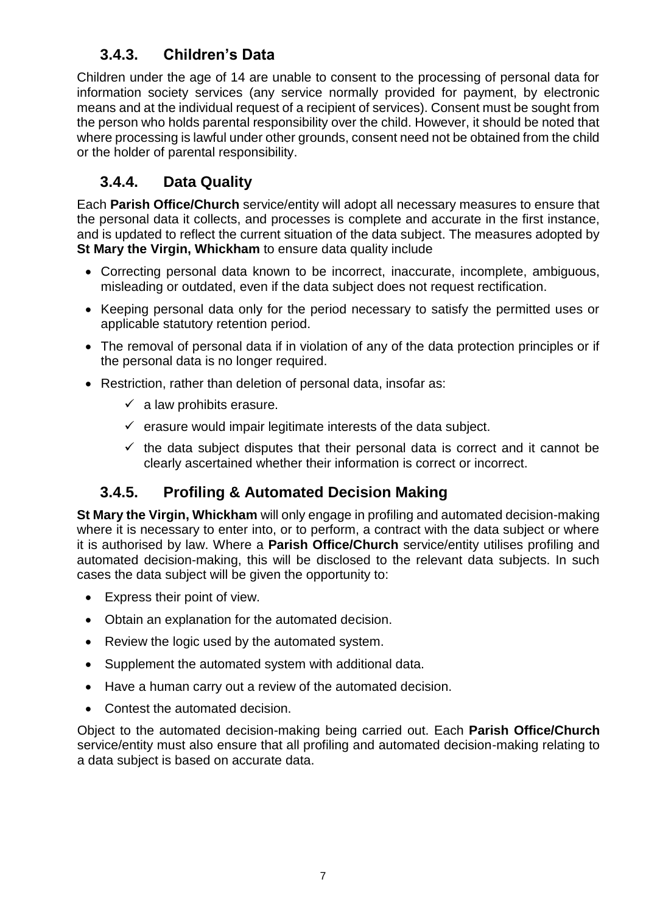# **3.4.3. Children's Data**

Children under the age of 14 are unable to consent to the processing of personal data for information society services (any service normally provided for payment, by electronic means and at the individual request of a recipient of services). Consent must be sought from the person who holds parental responsibility over the child. However, it should be noted that where processing is lawful under other grounds, consent need not be obtained from the child or the holder of parental responsibility.

# **3.4.4. Data Quality**

Each **Parish Office/Church** service/entity will adopt all necessary measures to ensure that the personal data it collects, and processes is complete and accurate in the first instance, and is updated to reflect the current situation of the data subject. The measures adopted by **St Mary the Virgin, Whickham** to ensure data quality include

- Correcting personal data known to be incorrect, inaccurate, incomplete, ambiguous, misleading or outdated, even if the data subject does not request rectification.
- Keeping personal data only for the period necessary to satisfy the permitted uses or applicable statutory retention period.
- The removal of personal data if in violation of any of the data protection principles or if the personal data is no longer required.
- Restriction, rather than deletion of personal data, insofar as:
	- $\checkmark$  a law prohibits erasure.
	- $\checkmark$  erasure would impair legitimate interests of the data subject.
	- $\checkmark$  the data subject disputes that their personal data is correct and it cannot be clearly ascertained whether their information is correct or incorrect.

# **3.4.5. Profiling & Automated Decision Making**

**St Mary the Virgin, Whickham** will only engage in profiling and automated decision-making where it is necessary to enter into, or to perform, a contract with the data subject or where it is authorised by law. Where a **Parish Office/Church** service/entity utilises profiling and automated decision-making, this will be disclosed to the relevant data subjects. In such cases the data subject will be given the opportunity to:

- Express their point of view.
- Obtain an explanation for the automated decision.
- Review the logic used by the automated system.
- Supplement the automated system with additional data.
- Have a human carry out a review of the automated decision.
- Contest the automated decision.

Object to the automated decision-making being carried out. Each **Parish Office/Church** service/entity must also ensure that all profiling and automated decision-making relating to a data subject is based on accurate data.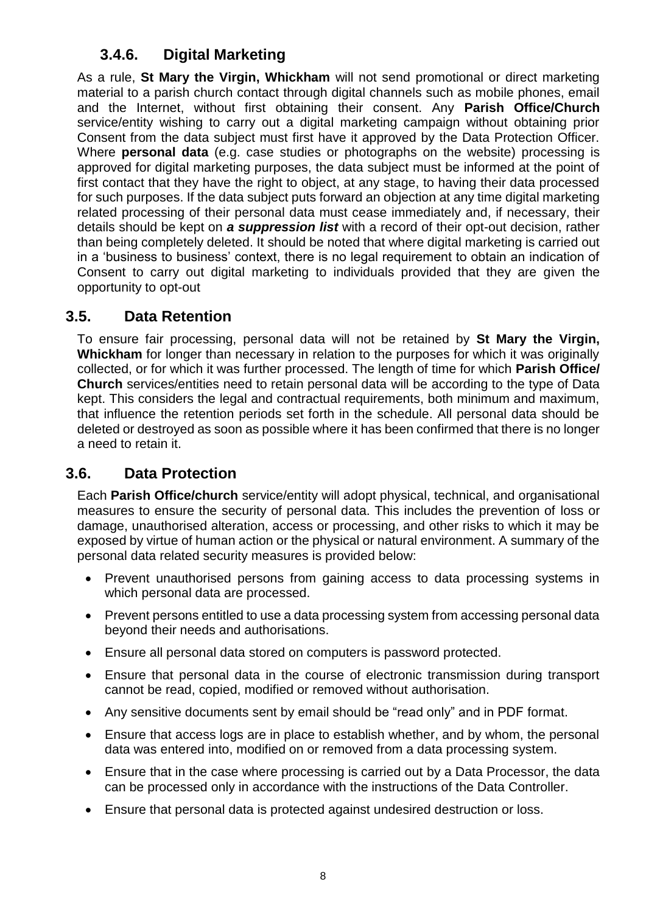# **3.4.6. Digital Marketing**

As a rule, **St Mary the Virgin, Whickham** will not send promotional or direct marketing material to a parish church contact through digital channels such as mobile phones, email and the Internet, without first obtaining their consent. Any **Parish Office/Church** service/entity wishing to carry out a digital marketing campaign without obtaining prior Consent from the data subject must first have it approved by the Data Protection Officer. Where **personal data** (e.g. case studies or photographs on the website) processing is approved for digital marketing purposes, the data subject must be informed at the point of first contact that they have the right to object, at any stage, to having their data processed for such purposes. If the data subject puts forward an objection at any time digital marketing related processing of their personal data must cease immediately and, if necessary, their details should be kept on *a suppression list* with a record of their opt-out decision, rather than being completely deleted. It should be noted that where digital marketing is carried out in a 'business to business' context, there is no legal requirement to obtain an indication of Consent to carry out digital marketing to individuals provided that they are given the opportunity to opt-out

### **3.5. Data Retention**

To ensure fair processing, personal data will not be retained by **St Mary the Virgin, Whickham** for longer than necessary in relation to the purposes for which it was originally collected, or for which it was further processed. The length of time for which **Parish Office/ Church** services/entities need to retain personal data will be according to the type of Data kept. This considers the legal and contractual requirements, both minimum and maximum, that influence the retention periods set forth in the schedule. All personal data should be deleted or destroyed as soon as possible where it has been confirmed that there is no longer a need to retain it.

## **3.6. Data Protection**

Each **Parish Office/church** service/entity will adopt physical, technical, and organisational measures to ensure the security of personal data. This includes the prevention of loss or damage, unauthorised alteration, access or processing, and other risks to which it may be exposed by virtue of human action or the physical or natural environment. A summary of the personal data related security measures is provided below:

- Prevent unauthorised persons from gaining access to data processing systems in which personal data are processed.
- Prevent persons entitled to use a data processing system from accessing personal data beyond their needs and authorisations.
- Ensure all personal data stored on computers is password protected.
- Ensure that personal data in the course of electronic transmission during transport cannot be read, copied, modified or removed without authorisation.
- Any sensitive documents sent by email should be "read only" and in PDF format.
- Ensure that access logs are in place to establish whether, and by whom, the personal data was entered into, modified on or removed from a data processing system.
- Ensure that in the case where processing is carried out by a Data Processor, the data can be processed only in accordance with the instructions of the Data Controller.
- Ensure that personal data is protected against undesired destruction or loss.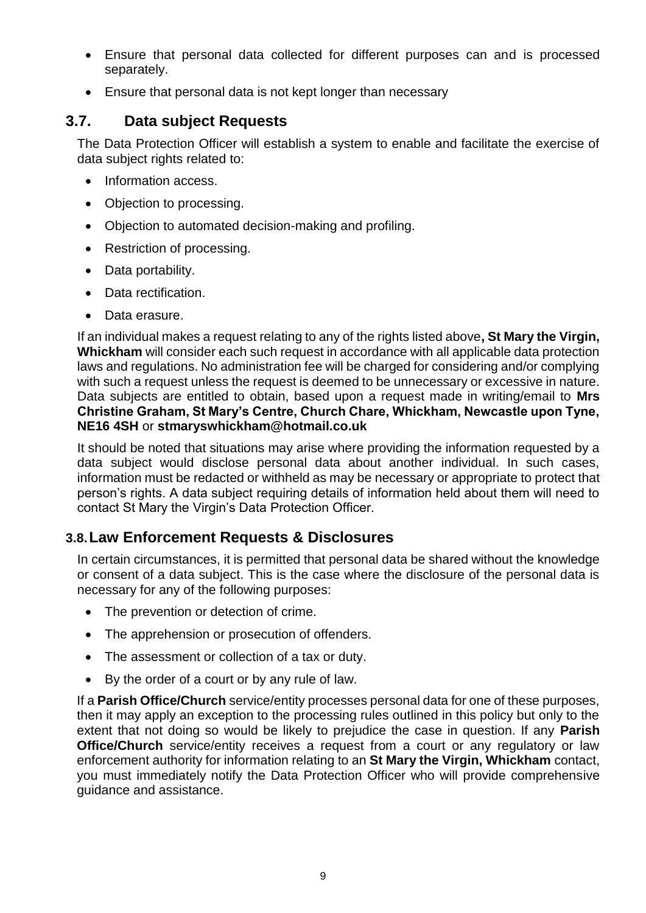- Ensure that personal data collected for different purposes can and is processed separately.
- Ensure that personal data is not kept longer than necessary

# **3.7. Data subject Requests**

The Data Protection Officer will establish a system to enable and facilitate the exercise of data subject rights related to:

- Information access.
- Objection to processing.
- Objection to automated decision-making and profiling.
- Restriction of processing.
- Data portability.
- Data rectification.
- Data erasure.

If an individual makes a request relating to any of the rights listed above**, St Mary the Virgin, Whickham** will consider each such request in accordance with all applicable data protection laws and regulations. No administration fee will be charged for considering and/or complying with such a request unless the request is deemed to be unnecessary or excessive in nature. Data subjects are entitled to obtain, based upon a request made in writing/email to **Mrs Christine Graham, St Mary's Centre, Church Chare, Whickham, Newcastle upon Tyne, NE16 4SH** or **stmaryswhickham@hotmail.co.uk**

It should be noted that situations may arise where providing the information requested by a data subject would disclose personal data about another individual. In such cases, information must be redacted or withheld as may be necessary or appropriate to protect that person's rights. A data subject requiring details of information held about them will need to contact St Mary the Virgin's Data Protection Officer.

## **3.8.Law Enforcement Requests & Disclosures**

In certain circumstances, it is permitted that personal data be shared without the knowledge or consent of a data subject. This is the case where the disclosure of the personal data is necessary for any of the following purposes:

- The prevention or detection of crime.
- The apprehension or prosecution of offenders.
- The assessment or collection of a tax or duty.
- By the order of a court or by any rule of law.

If a **Parish Office/Church** service/entity processes personal data for one of these purposes, then it may apply an exception to the processing rules outlined in this policy but only to the extent that not doing so would be likely to prejudice the case in question. If any **Parish Office/Church** service/entity receives a request from a court or any regulatory or law enforcement authority for information relating to an **St Mary the Virgin, Whickham** contact, you must immediately notify the Data Protection Officer who will provide comprehensive guidance and assistance.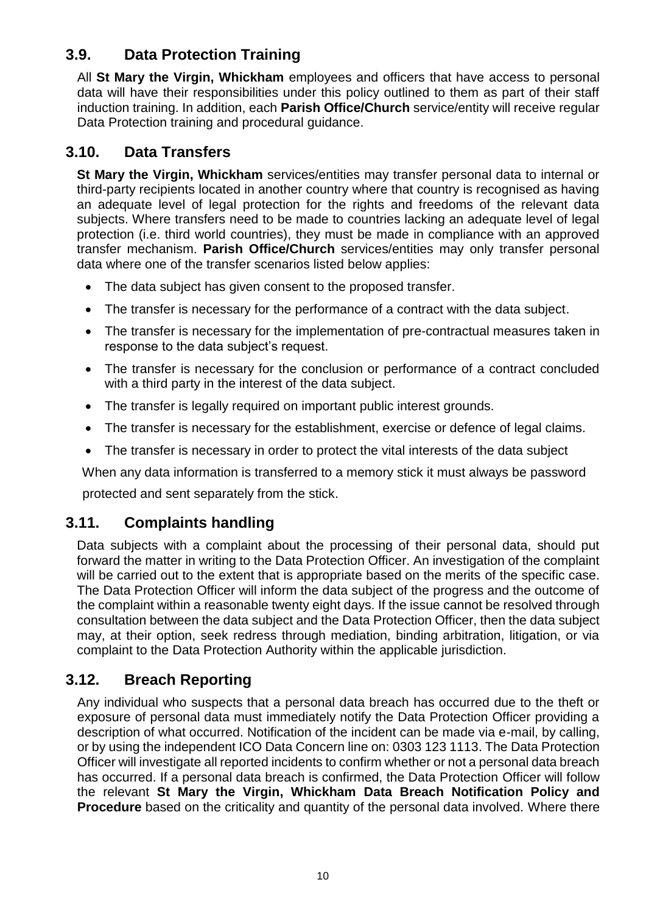# **3.9. Data Protection Training**

All **St Mary the Virgin, Whickham** employees and officers that have access to personal data will have their responsibilities under this policy outlined to them as part of their staff induction training. In addition, each **Parish Office/Church** service/entity will receive regular Data Protection training and procedural guidance.

## **3.10. Data Transfers**

**St Mary the Virgin, Whickham** services/entities may transfer personal data to internal or third-party recipients located in another country where that country is recognised as having an adequate level of legal protection for the rights and freedoms of the relevant data subjects. Where transfers need to be made to countries lacking an adequate level of legal protection (i.e. third world countries), they must be made in compliance with an approved transfer mechanism. **Parish Office/Church** services/entities may only transfer personal data where one of the transfer scenarios listed below applies:

- The data subject has given consent to the proposed transfer.
- The transfer is necessary for the performance of a contract with the data subject.
- The transfer is necessary for the implementation of pre-contractual measures taken in response to the data subject's request.
- The transfer is necessary for the conclusion or performance of a contract concluded with a third party in the interest of the data subject.
- The transfer is legally required on important public interest grounds.
- The transfer is necessary for the establishment, exercise or defence of legal claims.
- The transfer is necessary in order to protect the vital interests of the data subject

When any data information is transferred to a memory stick it must always be password

protected and sent separately from the stick.

# **3.11. Complaints handling**

Data subjects with a complaint about the processing of their personal data, should put forward the matter in writing to the Data Protection Officer. An investigation of the complaint will be carried out to the extent that is appropriate based on the merits of the specific case. The Data Protection Officer will inform the data subject of the progress and the outcome of the complaint within a reasonable twenty eight days. If the issue cannot be resolved through consultation between the data subject and the Data Protection Officer, then the data subject may, at their option, seek redress through mediation, binding arbitration, litigation, or via complaint to the Data Protection Authority within the applicable jurisdiction.

# **3.12. Breach Reporting**

Any individual who suspects that a personal data breach has occurred due to the theft or exposure of personal data must immediately notify the Data Protection Officer providing a description of what occurred. Notification of the incident can be made via e-mail, by calling, or by using the independent ICO Data Concern line on: 0303 123 1113. The Data Protection Officer will investigate all reported incidents to confirm whether or not a personal data breach has occurred. If a personal data breach is confirmed, the Data Protection Officer will follow the relevant **St Mary the Virgin, Whickham Data Breach Notification Policy and Procedure** based on the criticality and quantity of the personal data involved. Where there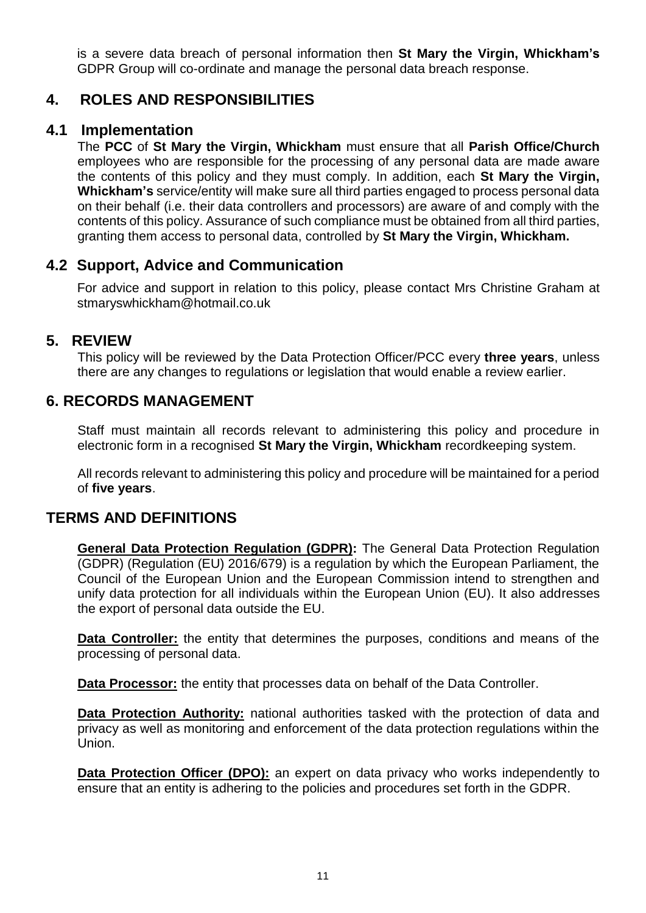is a severe data breach of personal information then **St Mary the Virgin, Whickham's** GDPR Group will co-ordinate and manage the personal data breach response.

## **4. ROLES AND RESPONSIBILITIES**

### **4.1 Implementation**

The **PCC** of **St Mary the Virgin, Whickham** must ensure that all **Parish Office/Church** employees who are responsible for the processing of any personal data are made aware the contents of this policy and they must comply. In addition, each **St Mary the Virgin, Whickham's** service/entity will make sure all third parties engaged to process personal data on their behalf (i.e. their data controllers and processors) are aware of and comply with the contents of this policy. Assurance of such compliance must be obtained from all third parties, granting them access to personal data, controlled by **St Mary the Virgin, Whickham.**

# **4.2 Support, Advice and Communication**

For advice and support in relation to this policy, please contact Mrs Christine Graham at stmaryswhickham@hotmail.co.uk

## **5. REVIEW**

This policy will be reviewed by the Data Protection Officer/PCC every **three years**, unless there are any changes to regulations or legislation that would enable a review earlier.

## **6. RECORDS MANAGEMENT**

Staff must maintain all records relevant to administering this policy and procedure in electronic form in a recognised **St Mary the Virgin, Whickham** recordkeeping system.

All records relevant to administering this policy and procedure will be maintained for a period of **five years**.

## **TERMS AND DEFINITIONS**

**General Data Protection Regulation (GDPR):** The General Data Protection Regulation (GDPR) (Regulation (EU) 2016/679) is a regulation by which the European Parliament, the Council of the European Union and the European Commission intend to strengthen and unify data protection for all individuals within the European Union (EU). It also addresses the export of personal data outside the EU.

**Data Controller:** the entity that determines the purposes, conditions and means of the processing of personal data.

**Data Processor:** the entity that processes data on behalf of the Data Controller.

**Data Protection Authority:** national authorities tasked with the protection of data and privacy as well as monitoring and enforcement of the data protection regulations within the Union.

**Data Protection Officer (DPO):** an expert on data privacy who works independently to ensure that an entity is adhering to the policies and procedures set forth in the GDPR.